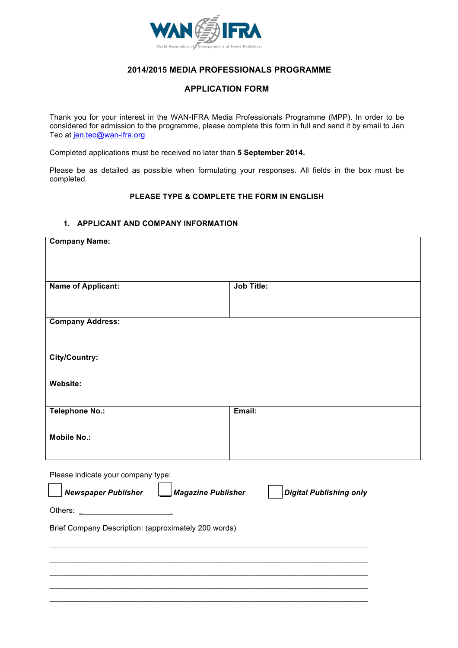

## **2014/2015 MEDIA PROFESSIONALS PROGRAMME**

# **APPLICATION FORM**

Thank you for your interest in the WAN-IFRA Media Professionals Programme (MPP). In order to be considered for admission to the programme, please complete this form in full and send it by email to Jen Teo at jen.teo@wan-ifra.org

Completed applications must be received no later than **5 September 2014.**

Please be as detailed as possible when formulating your responses. All fields in the box must be completed.

#### **PLEASE TYPE & COMPLETE THE FORM IN ENGLISH**

#### **1. APPLICANT AND COMPANY INFORMATION**

| <b>Company Name:</b>                                 |                                |
|------------------------------------------------------|--------------------------------|
|                                                      |                                |
| <b>Name of Applicant:</b>                            | <b>Job Title:</b>              |
|                                                      |                                |
|                                                      |                                |
| <b>Company Address:</b>                              |                                |
|                                                      |                                |
| City/Country:                                        |                                |
|                                                      |                                |
| Website:                                             |                                |
| <b>Telephone No.:</b>                                | Email:                         |
|                                                      |                                |
| <b>Mobile No.:</b>                                   |                                |
|                                                      |                                |
| Please indicate your company type:                   |                                |
| <b>Newspaper Publisher</b><br>Magazine Publisher     | <b>Digital Publishing only</b> |
|                                                      |                                |
|                                                      |                                |
| Brief Company Description: (approximately 200 words) |                                |
|                                                      |                                |
|                                                      |                                |
|                                                      |                                |
|                                                      |                                |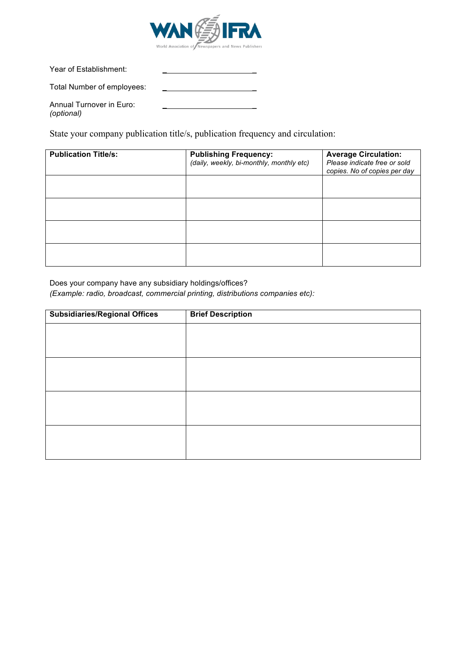

Year of Establishment:

Total Number of employees: *\_* \_

Annual Turnover in Euro: *(optional)*

State your company publication title/s, publication frequency and circulation:

| <b>Publication Title/s:</b> | <b>Publishing Frequency:</b>             | <b>Average Circulation:</b>  |
|-----------------------------|------------------------------------------|------------------------------|
|                             | (daily, weekly, bi-monthly, monthly etc) | Please indicate free or sold |
|                             |                                          |                              |
|                             |                                          | copies. No of copies per day |
|                             |                                          |                              |
|                             |                                          |                              |
|                             |                                          |                              |
|                             |                                          |                              |
|                             |                                          |                              |
|                             |                                          |                              |
|                             |                                          |                              |
|                             |                                          |                              |
|                             |                                          |                              |
|                             |                                          |                              |
|                             |                                          |                              |
|                             |                                          |                              |
|                             |                                          |                              |
|                             |                                          |                              |
|                             |                                          |                              |

Does your company have any subsidiary holdings/offices? *(Example: radio, broadcast, commercial printing, distributions companies etc):* 

| <b>Subsidiaries/Regional Offices</b> | <b>Brief Description</b> |
|--------------------------------------|--------------------------|
|                                      |                          |
|                                      |                          |
|                                      |                          |
|                                      |                          |
|                                      |                          |
|                                      |                          |
|                                      |                          |
|                                      |                          |
|                                      |                          |
|                                      |                          |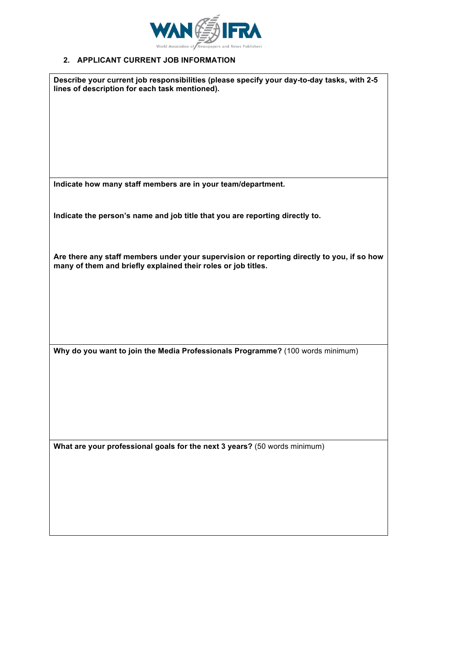

# **2. APPLICANT CURRENT JOB INFORMATION**

| Describe your current job responsibilities (please specify your day-to-day tasks, with 2-5<br>lines of description for each task mentioned).                |
|-------------------------------------------------------------------------------------------------------------------------------------------------------------|
|                                                                                                                                                             |
|                                                                                                                                                             |
|                                                                                                                                                             |
|                                                                                                                                                             |
|                                                                                                                                                             |
| Indicate how many staff members are in your team/department.                                                                                                |
| Indicate the person's name and job title that you are reporting directly to.                                                                                |
|                                                                                                                                                             |
| Are there any staff members under your supervision or reporting directly to you, if so how<br>many of them and briefly explained their roles or job titles. |
|                                                                                                                                                             |
|                                                                                                                                                             |
|                                                                                                                                                             |
|                                                                                                                                                             |
| Why do you want to join the Media Professionals Programme? (100 words minimum)                                                                              |
|                                                                                                                                                             |
|                                                                                                                                                             |
|                                                                                                                                                             |
|                                                                                                                                                             |
| What are your professional goals for the next 3 years? (50 words minimum)                                                                                   |
|                                                                                                                                                             |
|                                                                                                                                                             |
|                                                                                                                                                             |
|                                                                                                                                                             |
|                                                                                                                                                             |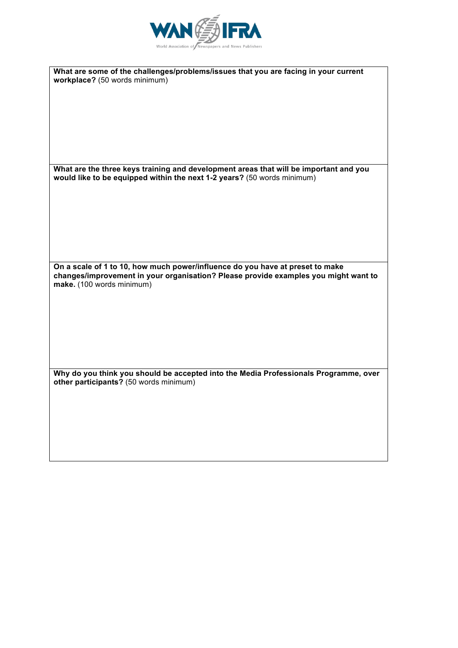

| What are some of the challenges/problems/issues that you are facing in your current                                                                                  |
|----------------------------------------------------------------------------------------------------------------------------------------------------------------------|
| workplace? (50 words minimum)                                                                                                                                        |
|                                                                                                                                                                      |
|                                                                                                                                                                      |
|                                                                                                                                                                      |
|                                                                                                                                                                      |
|                                                                                                                                                                      |
|                                                                                                                                                                      |
|                                                                                                                                                                      |
| What are the three keys training and development areas that will be important and you<br>would like to be equipped within the next 1-2 years? (50 words minimum)     |
|                                                                                                                                                                      |
|                                                                                                                                                                      |
|                                                                                                                                                                      |
|                                                                                                                                                                      |
|                                                                                                                                                                      |
|                                                                                                                                                                      |
|                                                                                                                                                                      |
| On a scale of 1 to 10, how much power/influence do you have at preset to make<br>changes/improvement in your organisation? Please provide examples you might want to |
| make. (100 words minimum)                                                                                                                                            |
|                                                                                                                                                                      |
|                                                                                                                                                                      |
|                                                                                                                                                                      |
|                                                                                                                                                                      |
|                                                                                                                                                                      |
|                                                                                                                                                                      |
|                                                                                                                                                                      |
| Why do you think you should be accepted into the Media Professionals Programme, over<br>other participants? (50 words minimum)                                       |
|                                                                                                                                                                      |
|                                                                                                                                                                      |
|                                                                                                                                                                      |
|                                                                                                                                                                      |
|                                                                                                                                                                      |
|                                                                                                                                                                      |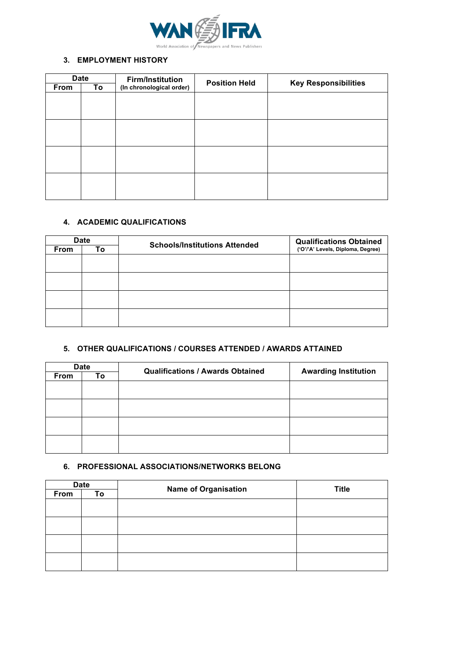

#### **3. EMPLOYMENT HISTORY**

|      | <b>Date</b> | <b>Firm/Institution</b><br><b>Position Held</b> |  |                             |  |
|------|-------------|-------------------------------------------------|--|-----------------------------|--|
| From | To          | (In chronological order)                        |  | <b>Key Responsibilities</b> |  |
|      |             |                                                 |  |                             |  |
|      |             |                                                 |  |                             |  |
|      |             |                                                 |  |                             |  |
|      |             |                                                 |  |                             |  |
|      |             |                                                 |  |                             |  |
|      |             |                                                 |  |                             |  |
|      |             |                                                 |  |                             |  |
|      |             |                                                 |  |                             |  |
|      |             |                                                 |  |                             |  |
|      |             |                                                 |  |                             |  |
|      |             |                                                 |  |                             |  |
|      |             |                                                 |  |                             |  |

## **4. ACADEMIC QUALIFICATIONS**

| <b>Date</b> |    | <b>Schools/Institutions Attended</b> | <b>Qualifications Obtained</b>    |
|-------------|----|--------------------------------------|-----------------------------------|
| <b>From</b> | To |                                      | ('O'/'A' Levels, Diploma, Degree) |
|             |    |                                      |                                   |
|             |    |                                      |                                   |
|             |    |                                      |                                   |
|             |    |                                      |                                   |
|             |    |                                      |                                   |
|             |    |                                      |                                   |
|             |    |                                      |                                   |
|             |    |                                      |                                   |

## **5. OTHER QUALIFICATIONS / COURSES ATTENDED / AWARDS ATTAINED**

| <b>Date</b> |    | <b>Qualifications / Awards Obtained</b> |                             |
|-------------|----|-----------------------------------------|-----------------------------|
| From        | To |                                         | <b>Awarding Institution</b> |
|             |    |                                         |                             |
|             |    |                                         |                             |
|             |    |                                         |                             |
|             |    |                                         |                             |
|             |    |                                         |                             |
|             |    |                                         |                             |
|             |    |                                         |                             |
|             |    |                                         |                             |

## **6. PROFESSIONAL ASSOCIATIONS/NETWORKS BELONG**

| <b>Date</b> |    |                             | <b>Title</b> |
|-------------|----|-----------------------------|--------------|
| From        | To | <b>Name of Organisation</b> |              |
|             |    |                             |              |
|             |    |                             |              |
|             |    |                             |              |
|             |    |                             |              |
|             |    |                             |              |
|             |    |                             |              |
|             |    |                             |              |
|             |    |                             |              |